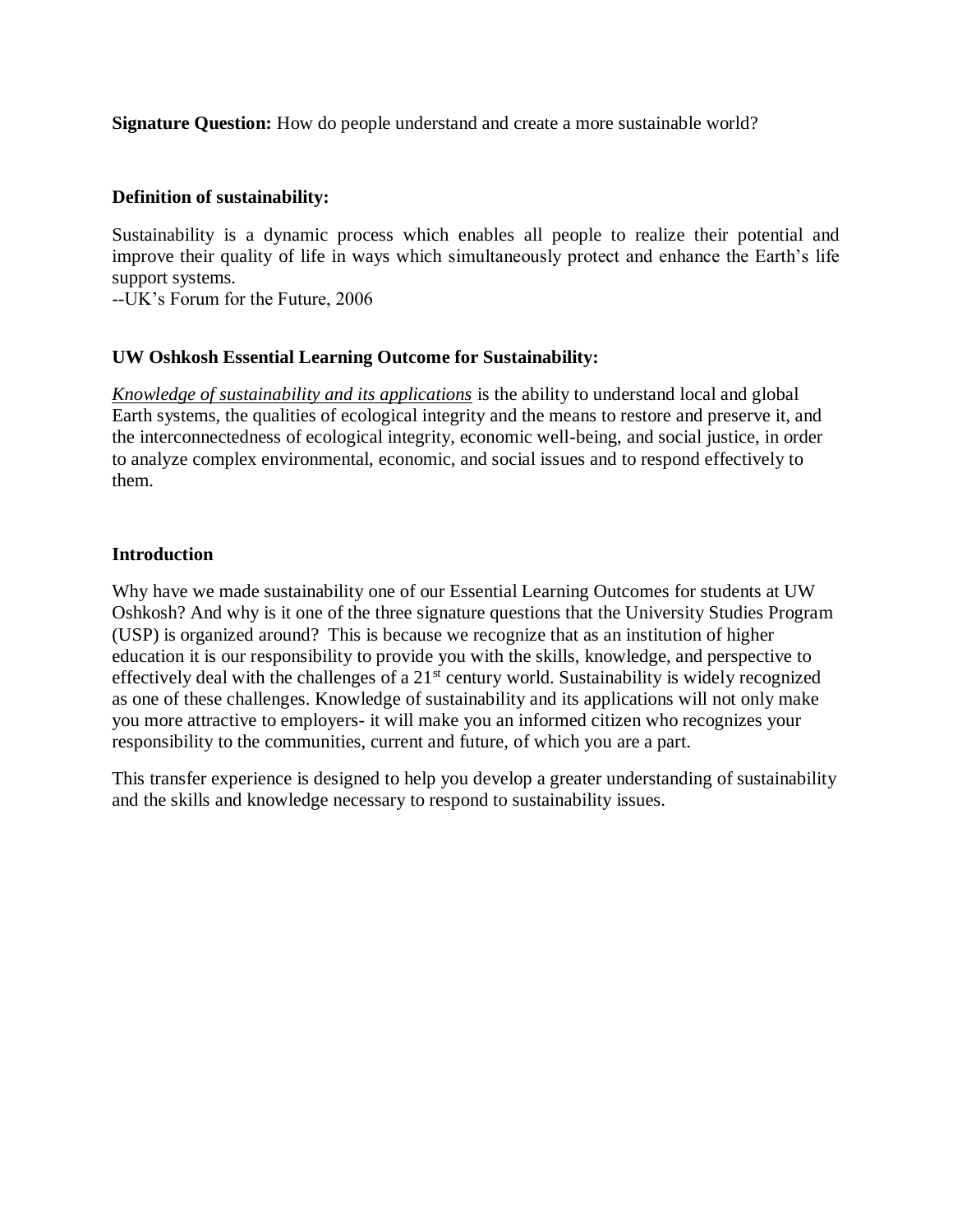**Signature Question:** How do people understand and create a more sustainable world?

#### **Definition of sustainability:**

Sustainability is a dynamic process which enables all people to realize their potential and improve their quality of life in ways which simultaneously protect and enhance the Earth's life support systems*.*

--UK's Forum for the Future, 2006

## **UW Oshkosh Essential Learning Outcome for Sustainability:**

*Knowledge of sustainability and its applications* is the ability to understand local and global Earth systems, the qualities of ecological integrity and the means to restore and preserve it, and the interconnectedness of ecological integrity, economic well-being, and social justice, in order to analyze complex environmental, economic, and social issues and to respond effectively to them.

#### **Introduction**

Why have we made sustainability one of our Essential Learning Outcomes for students at UW Oshkosh? And why is it one of the three signature questions that the University Studies Program (USP) is organized around? This is because we recognize that as an institution of higher education it is our responsibility to provide you with the skills, knowledge, and perspective to effectively deal with the challenges of a  $21<sup>st</sup>$  century world. Sustainability is widely recognized as one of these challenges. Knowledge of sustainability and its applications will not only make you more attractive to employers- it will make you an informed citizen who recognizes your responsibility to the communities, current and future, of which you are a part.

This transfer experience is designed to help you develop a greater understanding of sustainability and the skills and knowledge necessary to respond to sustainability issues.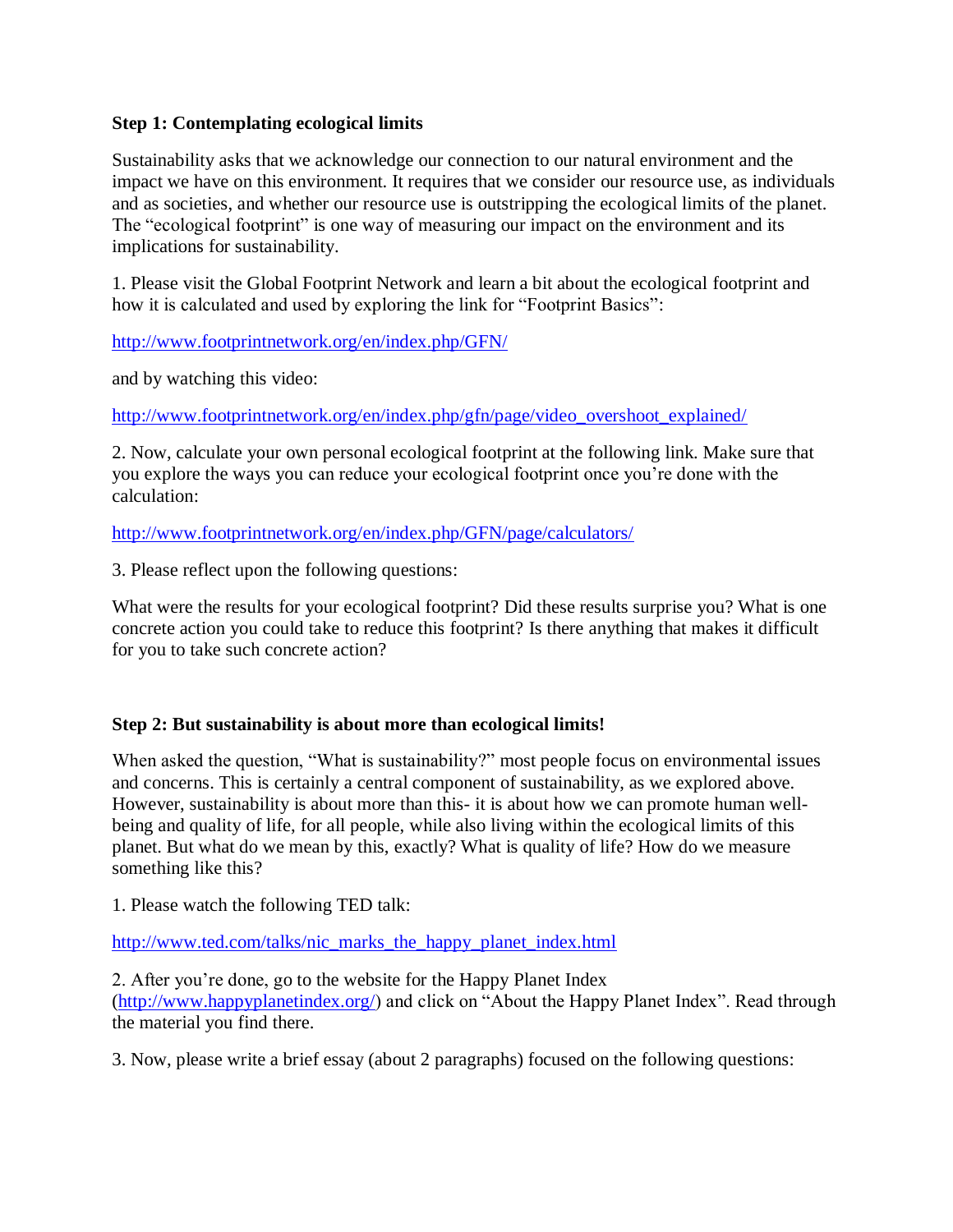## **Step 1: Contemplating ecological limits**

Sustainability asks that we acknowledge our connection to our natural environment and the impact we have on this environment. It requires that we consider our resource use, as individuals and as societies, and whether our resource use is outstripping the ecological limits of the planet. The "ecological footprint" is one way of measuring our impact on the environment and its implications for sustainability.

1. Please visit the Global Footprint Network and learn a bit about the ecological footprint and how it is calculated and used by exploring the link for "Footprint Basics":

<http://www.footprintnetwork.org/en/index.php/GFN/>

and by watching this video:

[http://www.footprintnetwork.org/en/index.php/gfn/page/video\\_overshoot\\_explained/](http://www.footprintnetwork.org/en/index.php/gfn/page/video_overshoot_explained/)

2. Now, calculate your own personal ecological footprint at the following link. Make sure that you explore the ways you can reduce your ecological footprint once you're done with the calculation:

<http://www.footprintnetwork.org/en/index.php/GFN/page/calculators/>

3. Please reflect upon the following questions:

What were the results for your ecological footprint? Did these results surprise you? What is one concrete action you could take to reduce this footprint? Is there anything that makes it difficult for you to take such concrete action?

# **Step 2: But sustainability is about more than ecological limits!**

When asked the question, "What is sustainability?" most people focus on environmental issues and concerns. This is certainly a central component of sustainability, as we explored above. However, sustainability is about more than this- it is about how we can promote human wellbeing and quality of life, for all people, while also living within the ecological limits of this planet. But what do we mean by this, exactly? What is quality of life? How do we measure something like this?

1. Please watch the following TED talk:

[http://www.ted.com/talks/nic\\_marks\\_the\\_happy\\_planet\\_index.html](http://www.ted.com/talks/nic_marks_the_happy_planet_index.html)

2. After you're done, go to the website for the Happy Planet Index [\(http://www.happyplanetindex.org/\)](http://www.happyplanetindex.org/) and click on "About the Happy Planet Index". Read through the material you find there.

3. Now, please write a brief essay (about 2 paragraphs) focused on the following questions: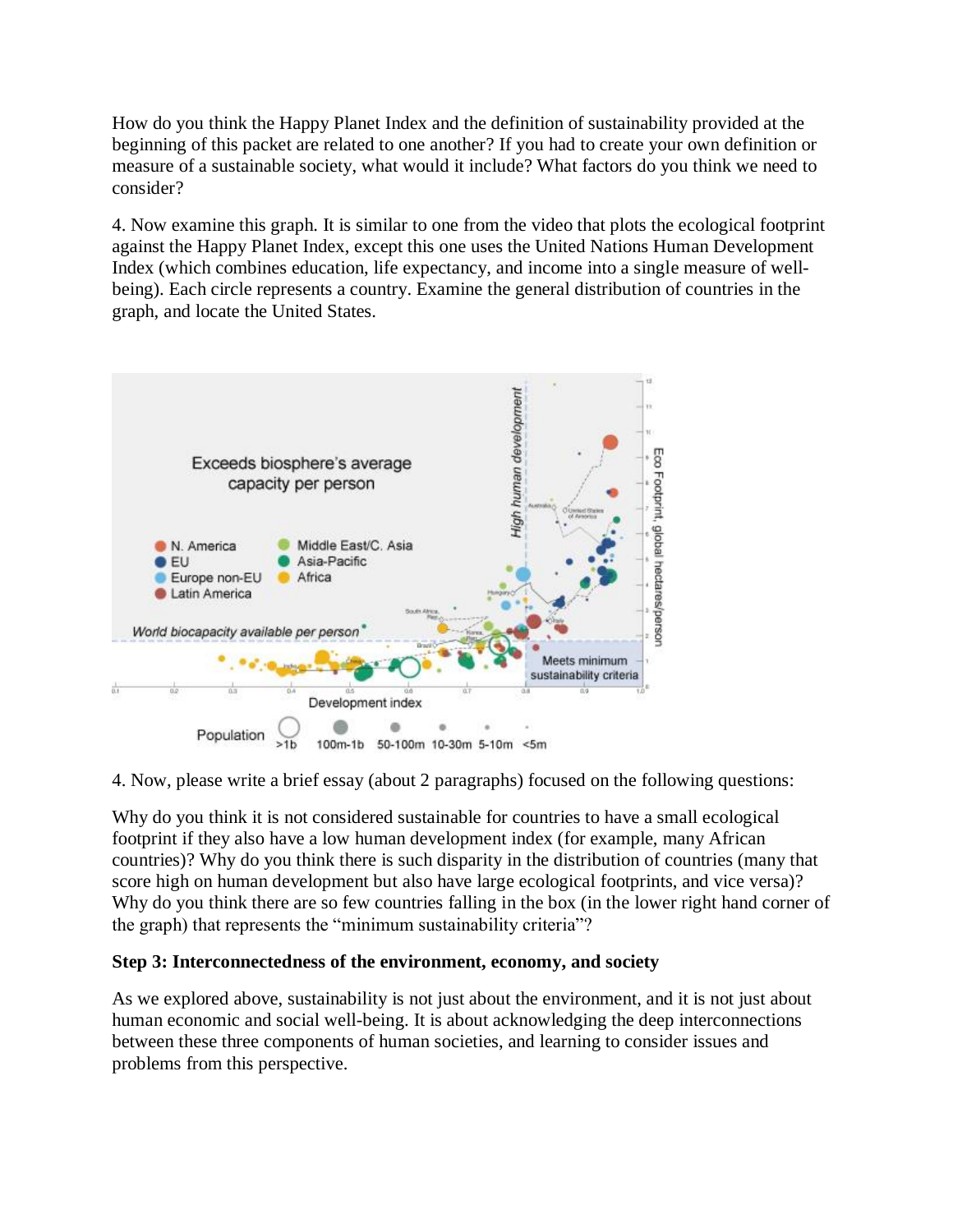How do you think the Happy Planet Index and the definition of sustainability provided at the beginning of this packet are related to one another? If you had to create your own definition or measure of a sustainable society, what would it include? What factors do you think we need to consider?

4. Now examine this graph. It is similar to one from the video that plots the ecological footprint against the Happy Planet Index, except this one uses the United Nations Human Development Index (which combines education, life expectancy, and income into a single measure of wellbeing). Each circle represents a country. Examine the general distribution of countries in the graph, and locate the United States.



4. Now, please write a brief essay (about 2 paragraphs) focused on the following questions:

Why do you think it is not considered sustainable for countries to have a small ecological footprint if they also have a low human development index (for example, many African countries)? Why do you think there is such disparity in the distribution of countries (many that score high on human development but also have large ecological footprints, and vice versa)? Why do you think there are so few countries falling in the box (in the lower right hand corner of the graph) that represents the "minimum sustainability criteria"?

# **Step 3: Interconnectedness of the environment, economy, and society**

As we explored above, sustainability is not just about the environment, and it is not just about human economic and social well-being. It is about acknowledging the deep interconnections between these three components of human societies, and learning to consider issues and problems from this perspective.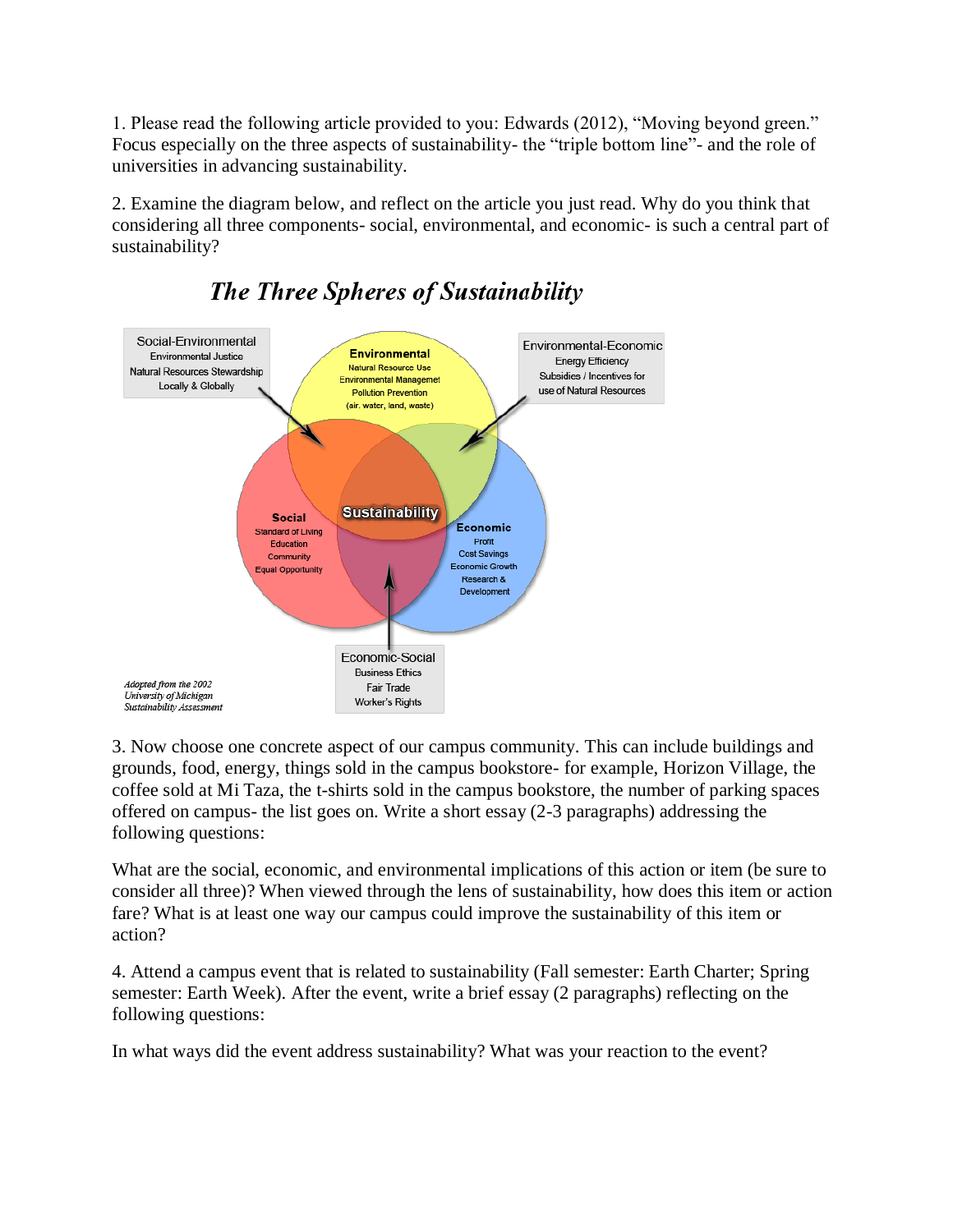1. Please read the following article provided to you: Edwards (2012), "Moving beyond green." Focus especially on the three aspects of sustainability- the "triple bottom line"- and the role of universities in advancing sustainability.

2. Examine the diagram below, and reflect on the article you just read. Why do you think that considering all three components- social, environmental, and economic- is such a central part of sustainability?



# **The Three Spheres of Sustainability**

3. Now choose one concrete aspect of our campus community. This can include buildings and grounds, food, energy, things sold in the campus bookstore- for example, Horizon Village, the coffee sold at Mi Taza, the t-shirts sold in the campus bookstore, the number of parking spaces offered on campus- the list goes on. Write a short essay (2-3 paragraphs) addressing the following questions:

What are the social, economic, and environmental implications of this action or item (be sure to consider all three)? When viewed through the lens of sustainability, how does this item or action fare? What is at least one way our campus could improve the sustainability of this item or action?

4. Attend a campus event that is related to sustainability (Fall semester: Earth Charter; Spring semester: Earth Week). After the event, write a brief essay (2 paragraphs) reflecting on the following questions:

In what ways did the event address sustainability? What was your reaction to the event?